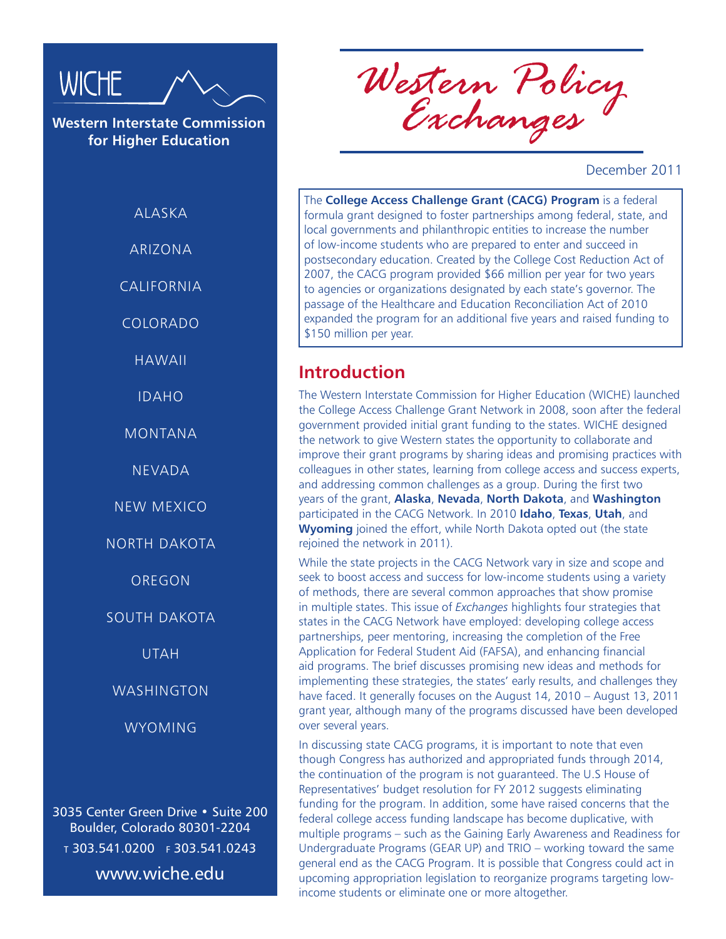

**Western Interstate Commission for Higher Education**

**ALASKA** 

ARIZONA

CALIFORNIA

COLORADO

HAWAII

IDAHO

MONTANA

NEVADA

NEW MEXICO

NORTH DAKOTA

**OREGON** 

SOUTH DAKOTA

UTAH

WASHINGTON

WYOMING

3035 Center Green Drive • Suite 200 Boulder, Colorado 80301-2204 <sup>t</sup> 303.541.0200 f 303.541.0243 www.wiche.edu

*Western Policy Exchanges*

December 2011

The **College Access Challenge Grant (CACG) Program** is a federal formula grant designed to foster partnerships among federal, state, and local governments and philanthropic entities to increase the number of low-income students who are prepared to enter and succeed in postsecondary education. Created by the College Cost Reduction Act of 2007, the CACG program provided \$66 million per year for two years to agencies or organizations designated by each state's governor. The passage of the Healthcare and Education Reconciliation Act of 2010 expanded the program for an additional five years and raised funding to \$150 million per year.

#### **Introduction**

The Western Interstate Commission for Higher Education (WICHE) launched the College Access Challenge Grant Network in 2008, soon after the federal government provided initial grant funding to the states. WICHE designed the network to give Western states the opportunity to collaborate and improve their grant programs by sharing ideas and promising practices with colleagues in other states, learning from college access and success experts, and addressing common challenges as a group. During the first two years of the grant, **Alaska**, **Nevada**, **North Dakota**, and **Washington**  participated in the CACG Network. In 2010 **Idaho**, **Texas**, **Utah**, and **Wyoming** joined the effort, while North Dakota opted out (the state rejoined the network in 2011).

While the state projects in the CACG Network vary in size and scope and seek to boost access and success for low-income students using a variety of methods, there are several common approaches that show promise in multiple states. This issue of *Exchanges* highlights four strategies that states in the CACG Network have employed: developing college access partnerships, peer mentoring, increasing the completion of the Free Application for Federal Student Aid (FAFSA), and enhancing financial aid programs. The brief discusses promising new ideas and methods for implementing these strategies, the states' early results, and challenges they have faced. It generally focuses on the August 14, 2010 – August 13, 2011 grant year, although many of the programs discussed have been developed over several years.

In discussing state CACG programs, it is important to note that even though Congress has authorized and appropriated funds through 2014, the continuation of the program is not guaranteed. The U.S House of Representatives' budget resolution for FY 2012 suggests eliminating funding for the program. In addition, some have raised concerns that the federal college access funding landscape has become duplicative, with multiple programs – such as the Gaining Early Awareness and Readiness for Undergraduate Programs (GEAR UP) and TRIO – working toward the same general end as the CACG Program. It is possible that Congress could act in upcoming appropriation legislation to reorganize programs targeting lowincome students or eliminate one or more altogether.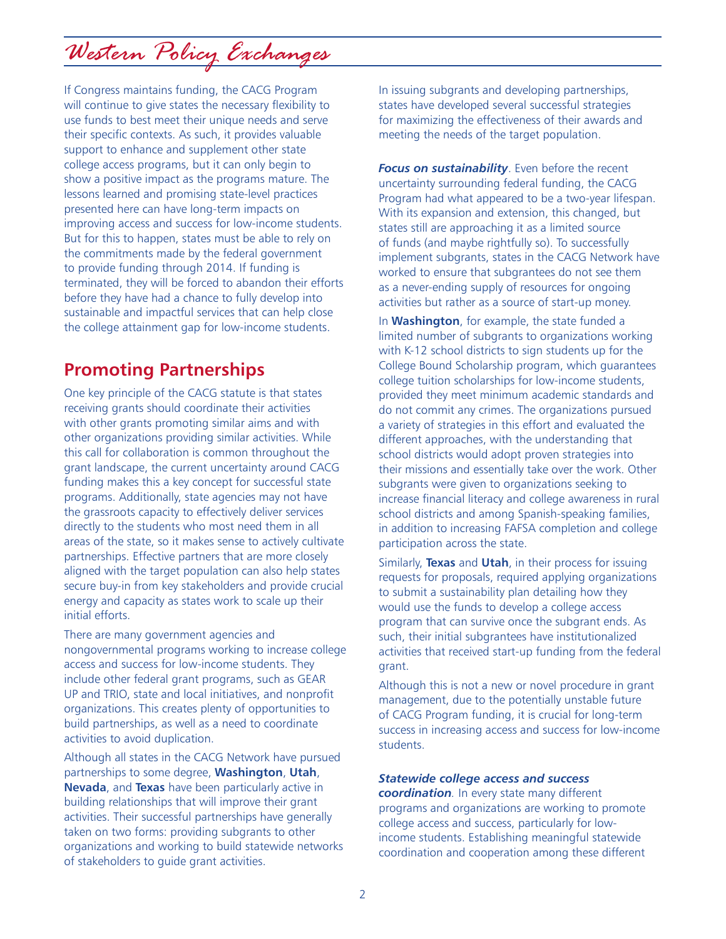*Western Policy Exchanges*

If Congress maintains funding, the CACG Program will continue to give states the necessary flexibility to use funds to best meet their unique needs and serve their specific contexts. As such, it provides valuable support to enhance and supplement other state college access programs, but it can only begin to show a positive impact as the programs mature. The lessons learned and promising state-level practices presented here can have long-term impacts on improving access and success for low-income students. But for this to happen, states must be able to rely on the commitments made by the federal government to provide funding through 2014. If funding is terminated, they will be forced to abandon their efforts before they have had a chance to fully develop into sustainable and impactful services that can help close the college attainment gap for low-income students.

### **Promoting Partnerships**

One key principle of the CACG statute is that states receiving grants should coordinate their activities with other grants promoting similar aims and with other organizations providing similar activities. While this call for collaboration is common throughout the grant landscape, the current uncertainty around CACG funding makes this a key concept for successful state programs. Additionally, state agencies may not have the grassroots capacity to effectively deliver services directly to the students who most need them in all areas of the state, so it makes sense to actively cultivate partnerships. Effective partners that are more closely aligned with the target population can also help states secure buy-in from key stakeholders and provide crucial energy and capacity as states work to scale up their initial efforts.

There are many government agencies and nongovernmental programs working to increase college access and success for low-income students. They include other federal grant programs, such as GEAR UP and TRIO, state and local initiatives, and nonprofit organizations. This creates plenty of opportunities to build partnerships, as well as a need to coordinate activities to avoid duplication.

Although all states in the CACG Network have pursued partnerships to some degree, **Washington**, **Utah**, **Nevada**, and **Texas** have been particularly active in building relationships that will improve their grant activities. Their successful partnerships have generally taken on two forms: providing subgrants to other organizations and working to build statewide networks of stakeholders to guide grant activities.

In issuing subgrants and developing partnerships, states have developed several successful strategies for maximizing the effectiveness of their awards and meeting the needs of the target population.

*Focus on sustainability*. Even before the recent uncertainty surrounding federal funding, the CACG Program had what appeared to be a two-year lifespan. With its expansion and extension, this changed, but states still are approaching it as a limited source of funds (and maybe rightfully so). To successfully implement subgrants, states in the CACG Network have worked to ensure that subgrantees do not see them as a never-ending supply of resources for ongoing activities but rather as a source of start-up money.

In **Washington**, for example, the state funded a limited number of subgrants to organizations working with K-12 school districts to sign students up for the College Bound Scholarship program, which guarantees college tuition scholarships for low-income students, provided they meet minimum academic standards and do not commit any crimes. The organizations pursued a variety of strategies in this effort and evaluated the different approaches, with the understanding that school districts would adopt proven strategies into their missions and essentially take over the work. Other subgrants were given to organizations seeking to increase financial literacy and college awareness in rural school districts and among Spanish-speaking families, in addition to increasing FAFSA completion and college participation across the state.

Similarly, **Texas** and **Utah**, in their process for issuing requests for proposals, required applying organizations to submit a sustainability plan detailing how they would use the funds to develop a college access program that can survive once the subgrant ends. As such, their initial subgrantees have institutionalized activities that received start-up funding from the federal grant.

Although this is not a new or novel procedure in grant management, due to the potentially unstable future of CACG Program funding, it is crucial for long-term success in increasing access and success for low-income students.

#### *Statewide college access and success*

*coordination.* In every state many different programs and organizations are working to promote college access and success, particularly for lowincome students. Establishing meaningful statewide coordination and cooperation among these different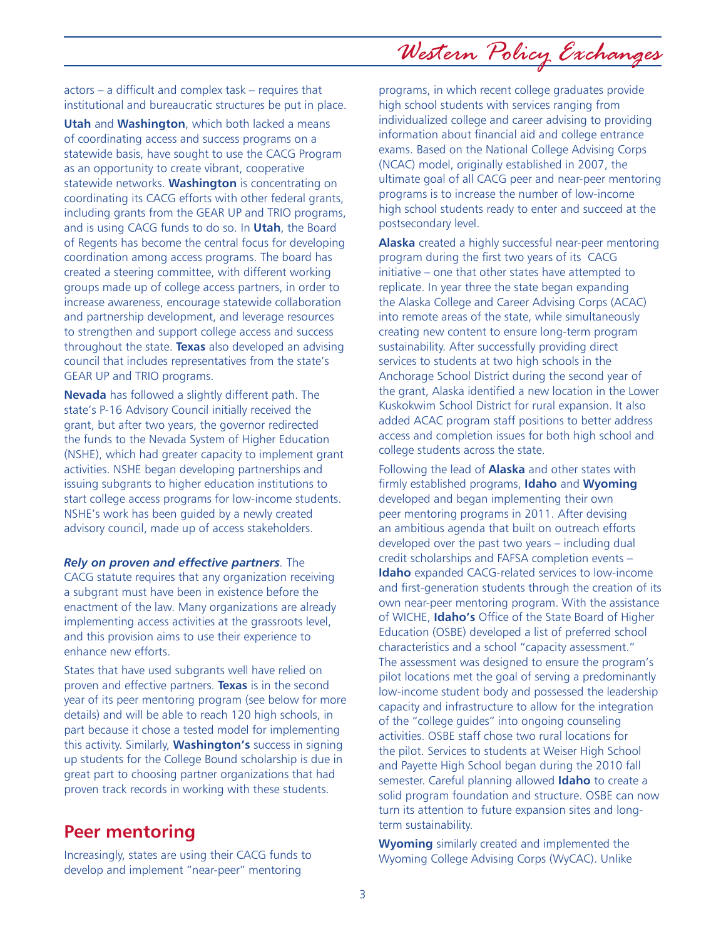*Western Policy Exchanges*

actors – a difficult and complex task – requires that institutional and bureaucratic structures be put in place.

**Utah** and **Washington**, which both lacked a means of coordinating access and success programs on a statewide basis, have sought to use the CACG Program as an opportunity to create vibrant, cooperative statewide networks. **Washington** is concentrating on coordinating its CACG efforts with other federal grants, including grants from the GEAR UP and TRIO programs, and is using CACG funds to do so. In **Utah**, the Board of Regents has become the central focus for developing coordination among access programs. The board has created a steering committee, with different working groups made up of college access partners, in order to increase awareness, encourage statewide collaboration and partnership development, and leverage resources to strengthen and support college access and success throughout the state. **Texas** also developed an advising council that includes representatives from the state's GEAR UP and TRIO programs.

**Nevada** has followed a slightly different path. The state's P-16 Advisory Council initially received the grant, but after two years, the governor redirected the funds to the Nevada System of Higher Education (NSHE), which had greater capacity to implement grant activities. NSHE began developing partnerships and issuing subgrants to higher education institutions to start college access programs for low-income students. NSHE's work has been guided by a newly created advisory council, made up of access stakeholders.

*Rely on proven and effective partners.* The CACG statute requires that any organization receiving a subgrant must have been in existence before the enactment of the law. Many organizations are already implementing access activities at the grassroots level, and this provision aims to use their experience to enhance new efforts.

States that have used subgrants well have relied on proven and effective partners. **Texas** is in the second year of its peer mentoring program (see below for more details) and will be able to reach 120 high schools, in part because it chose a tested model for implementing this activity. Similarly, **Washington's** success in signing up students for the College Bound scholarship is due in great part to choosing partner organizations that had proven track records in working with these students.

#### **Peer mentoring**

Increasingly, states are using their CACG funds to develop and implement "near-peer" mentoring

programs, in which recent college graduates provide high school students with services ranging from individualized college and career advising to providing information about financial aid and college entrance exams. Based on the National College Advising Corps (NCAC) model, originally established in 2007, the ultimate goal of all CACG peer and near-peer mentoring programs is to increase the number of low-income high school students ready to enter and succeed at the postsecondary level.

**Alaska** created a highly successful near-peer mentoring program during the first two years of its CACG initiative – one that other states have attempted to replicate. In year three the state began expanding the Alaska College and Career Advising Corps (ACAC) into remote areas of the state, while simultaneously creating new content to ensure long-term program sustainability. After successfully providing direct services to students at two high schools in the Anchorage School District during the second year of the grant, Alaska identified a new location in the Lower Kuskokwim School District for rural expansion. It also added ACAC program staff positions to better address access and completion issues for both high school and college students across the state.

Following the lead of **Alaska** and other states with firmly established programs, **Idaho** and **Wyoming**  developed and began implementing their own peer mentoring programs in 2011. After devising an ambitious agenda that built on outreach efforts developed over the past two years – including dual credit scholarships and FAFSA completion events – **Idaho** expanded CACG-related services to low-income and first-generation students through the creation of its own near-peer mentoring program. With the assistance of WICHE, **Idaho's** Office of the State Board of Higher Education (OSBE) developed a list of preferred school characteristics and a school "capacity assessment." The assessment was designed to ensure the program's pilot locations met the goal of serving a predominantly low-income student body and possessed the leadership capacity and infrastructure to allow for the integration of the "college guides" into ongoing counseling activities. OSBE staff chose two rural locations for the pilot. Services to students at Weiser High School and Payette High School began during the 2010 fall semester. Careful planning allowed **Idaho** to create a solid program foundation and structure. OSBE can now turn its attention to future expansion sites and longterm sustainability.

**Wyoming** similarly created and implemented the Wyoming College Advising Corps (WyCAC). Unlike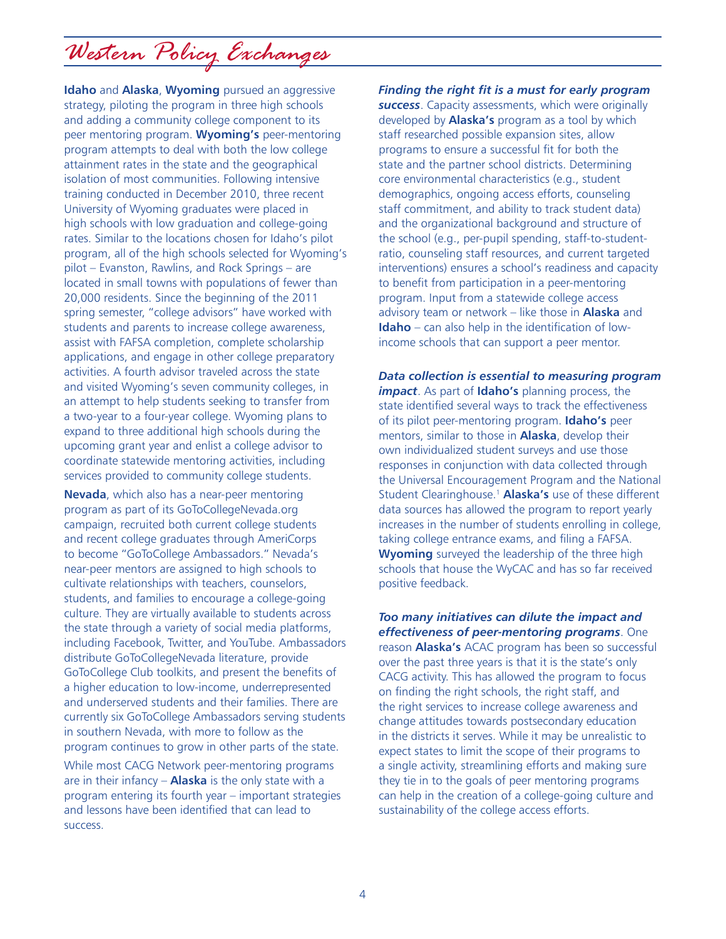# *Western Policy Exchanges*

**Idaho** and **Alaska**, **Wyoming** pursued an aggressive strategy, piloting the program in three high schools and adding a community college component to its peer mentoring program. **Wyoming's** peer-mentoring program attempts to deal with both the low college attainment rates in the state and the geographical isolation of most communities. Following intensive training conducted in December 2010, three recent University of Wyoming graduates were placed in high schools with low graduation and college-going rates. Similar to the locations chosen for Idaho's pilot program, all of the high schools selected for Wyoming's pilot – Evanston, Rawlins, and Rock Springs – are located in small towns with populations of fewer than 20,000 residents. Since the beginning of the 2011 spring semester, "college advisors" have worked with students and parents to increase college awareness, assist with FAFSA completion, complete scholarship applications, and engage in other college preparatory activities. A fourth advisor traveled across the state and visited Wyoming's seven community colleges, in an attempt to help students seeking to transfer from a two-year to a four-year college. Wyoming plans to expand to three additional high schools during the upcoming grant year and enlist a college advisor to coordinate statewide mentoring activities, including services provided to community college students.

**Nevada**, which also has a near-peer mentoring program as part of its GoToCollegeNevada.org campaign, recruited both current college students and recent college graduates through AmeriCorps to become "GoToCollege Ambassadors." Nevada's near-peer mentors are assigned to high schools to cultivate relationships with teachers, counselors, students, and families to encourage a college-going culture. They are virtually available to students across the state through a variety of social media platforms, including Facebook, Twitter, and YouTube. Ambassadors distribute GoToCollegeNevada literature, provide GoToCollege Club toolkits, and present the benefits of a higher education to low-income, underrepresented and underserved students and their families. There are currently six GoToCollege Ambassadors serving students in southern Nevada, with more to follow as the program continues to grow in other parts of the state.

While most CACG Network peer-mentoring programs are in their infancy – **Alaska** is the only state with a program entering its fourth year – important strategies and lessons have been identified that can lead to success.

*Finding the right fit is a must for early program success*. Capacity assessments, which were originally developed by **Alaska's** program as a tool by which staff researched possible expansion sites, allow programs to ensure a successful fit for both the state and the partner school districts. Determining core environmental characteristics (e.g., student demographics, ongoing access efforts, counseling staff commitment, and ability to track student data) and the organizational background and structure of the school (e.g., per-pupil spending, staff-to-studentratio, counseling staff resources, and current targeted interventions) ensures a school's readiness and capacity to benefit from participation in a peer-mentoring program. Input from a statewide college access advisory team or network – like those in **Alaska** and **Idaho** – can also help in the identification of lowincome schools that can support a peer mentor.

*Data collection is essential to measuring program impact*. As part of **Idaho's** planning process, the state identified several ways to track the effectiveness of its pilot peer-mentoring program. **Idaho's** peer mentors, similar to those in **Alaska**, develop their own individualized student surveys and use those responses in conjunction with data collected through the Universal Encouragement Program and the National Student Clearinghouse.1 **Alaska's** use of these different data sources has allowed the program to report yearly increases in the number of students enrolling in college, taking college entrance exams, and filing a FAFSA. **Wyoming** surveyed the leadership of the three high schools that house the WyCAC and has so far received positive feedback.

*Too many initiatives can dilute the impact and effectiveness of peer-mentoring programs*. One reason **Alaska's** ACAC program has been so successful over the past three years is that it is the state's only CACG activity. This has allowed the program to focus on finding the right schools, the right staff, and the right services to increase college awareness and change attitudes towards postsecondary education in the districts it serves. While it may be unrealistic to expect states to limit the scope of their programs to a single activity, streamlining efforts and making sure they tie in to the goals of peer mentoring programs can help in the creation of a college-going culture and sustainability of the college access efforts.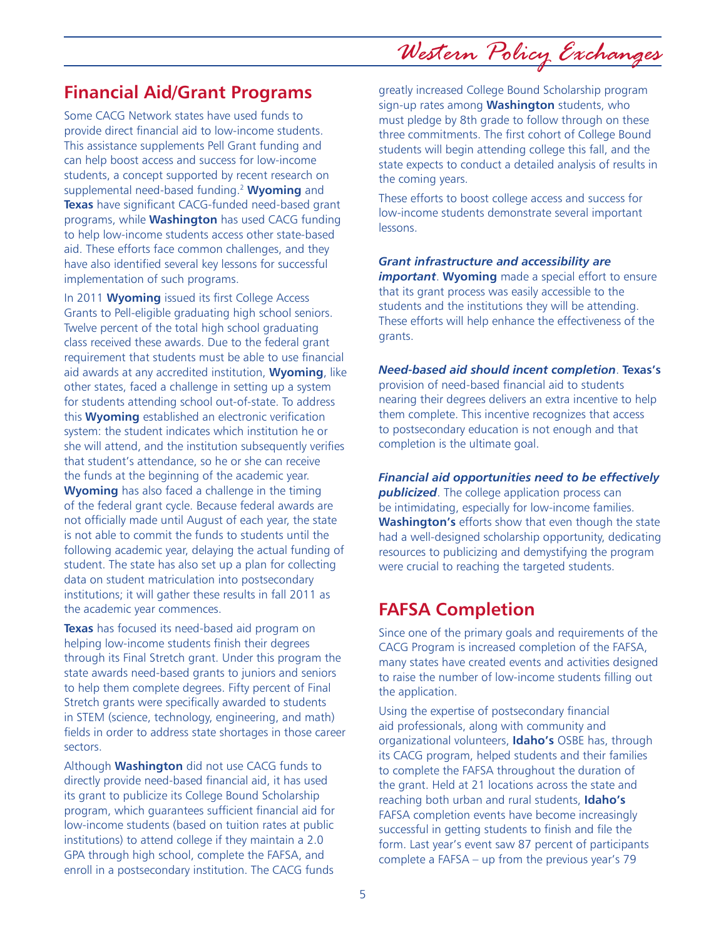*Western Policy Exchanges*

## **Financial Aid/Grant Programs**

Some CACG Network states have used funds to provide direct financial aid to low-income students. This assistance supplements Pell Grant funding and can help boost access and success for low-income students, a concept supported by recent research on supplemental need-based funding.2 **Wyoming** and **Texas** have significant CACG-funded need-based grant programs, while **Washington** has used CACG funding to help low-income students access other state-based aid. These efforts face common challenges, and they have also identified several key lessons for successful implementation of such programs.

In 2011 **Wyoming** issued its first College Access Grants to Pell-eligible graduating high school seniors. Twelve percent of the total high school graduating class received these awards. Due to the federal grant requirement that students must be able to use financial aid awards at any accredited institution, **Wyoming**, like other states, faced a challenge in setting up a system for students attending school out-of-state. To address this **Wyoming** established an electronic verification system: the student indicates which institution he or she will attend, and the institution subsequently verifies that student's attendance, so he or she can receive the funds at the beginning of the academic year. **Wyoming** has also faced a challenge in the timing of the federal grant cycle. Because federal awards are not officially made until August of each year, the state is not able to commit the funds to students until the following academic year, delaying the actual funding of student. The state has also set up a plan for collecting data on student matriculation into postsecondary institutions; it will gather these results in fall 2011 as the academic year commences.

**Texas** has focused its need-based aid program on helping low-income students finish their degrees through its Final Stretch grant. Under this program the state awards need-based grants to juniors and seniors to help them complete degrees. Fifty percent of Final Stretch grants were specifically awarded to students in STEM (science, technology, engineering, and math) fields in order to address state shortages in those career sectors.

Although **Washington** did not use CACG funds to directly provide need-based financial aid, it has used its grant to publicize its College Bound Scholarship program, which guarantees sufficient financial aid for low-income students (based on tuition rates at public institutions) to attend college if they maintain a 2.0 GPA through high school, complete the FAFSA, and enroll in a postsecondary institution. The CACG funds

greatly increased College Bound Scholarship program sign-up rates among **Washington** students, who must pledge by 8th grade to follow through on these three commitments. The first cohort of College Bound students will begin attending college this fall, and the state expects to conduct a detailed analysis of results in the coming years.

These efforts to boost college access and success for low-income students demonstrate several important lessons.

#### *Grant infrastructure and accessibility are*

*important*. **Wyoming** made a special effort to ensure that its grant process was easily accessible to the students and the institutions they will be attending. These efforts will help enhance the effectiveness of the grants.

*Need-based aid should incent completion*. **Texas's**  provision of need-based financial aid to students nearing their degrees delivers an extra incentive to help them complete. This incentive recognizes that access to postsecondary education is not enough and that completion is the ultimate goal.

*Financial aid opportunities need to be effectively publicized*. The college application process can be intimidating, especially for low-income families. **Washington's** efforts show that even though the state had a well-designed scholarship opportunity, dedicating resources to publicizing and demystifying the program were crucial to reaching the targeted students.

#### **FAFSA Completion**

Since one of the primary goals and requirements of the CACG Program is increased completion of the FAFSA, many states have created events and activities designed to raise the number of low-income students filling out the application.

Using the expertise of postsecondary financial aid professionals, along with community and organizational volunteers, **Idaho's** OSBE has, through its CACG program, helped students and their families to complete the FAFSA throughout the duration of the grant. Held at 21 locations across the state and reaching both urban and rural students, **Idaho's**  FAFSA completion events have become increasingly successful in getting students to finish and file the form. Last year's event saw 87 percent of participants complete a FAFSA – up from the previous year's 79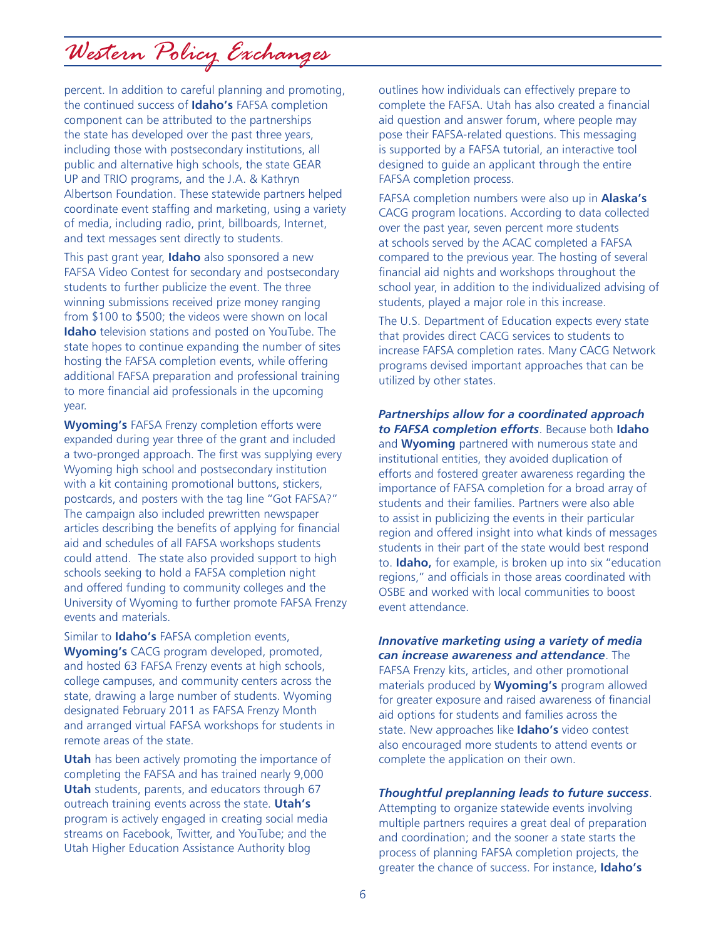*Western Policy Exchanges*

percent. In addition to careful planning and promoting, the continued success of **Idaho's** FAFSA completion component can be attributed to the partnerships the state has developed over the past three years, including those with postsecondary institutions, all public and alternative high schools, the state GEAR UP and TRIO programs, and the J.A. & Kathryn Albertson Foundation. These statewide partners helped coordinate event staffing and marketing, using a variety of media, including radio, print, billboards, Internet, and text messages sent directly to students.

This past grant year, **Idaho** also sponsored a new FAFSA Video Contest for secondary and postsecondary students to further publicize the event. The three winning submissions received prize money ranging from \$100 to \$500; the videos were shown on local **Idaho** television stations and posted on YouTube. The state hopes to continue expanding the number of sites hosting the FAFSA completion events, while offering additional FAFSA preparation and professional training to more financial aid professionals in the upcoming year.

**Wyoming's** FAFSA Frenzy completion efforts were expanded during year three of the grant and included a two-pronged approach. The first was supplying every Wyoming high school and postsecondary institution with a kit containing promotional buttons, stickers, postcards, and posters with the tag line "Got FAFSA?" The campaign also included prewritten newspaper articles describing the benefits of applying for financial aid and schedules of all FAFSA workshops students could attend. The state also provided support to high schools seeking to hold a FAFSA completion night and offered funding to community colleges and the University of Wyoming to further promote FAFSA Frenzy events and materials.

Similar to **Idaho's** FAFSA completion events, **Wyoming's** CACG program developed, promoted, and hosted 63 FAFSA Frenzy events at high schools, college campuses, and community centers across the state, drawing a large number of students. Wyoming designated February 2011 as FAFSA Frenzy Month and arranged virtual FAFSA workshops for students in remote areas of the state.

**Utah** has been actively promoting the importance of completing the FAFSA and has trained nearly 9,000 **Utah** students, parents, and educators through 67 outreach training events across the state. **Utah's**  program is actively engaged in creating social media streams on Facebook, Twitter, and YouTube; and the Utah Higher Education Assistance Authority blog

outlines how individuals can effectively prepare to complete the FAFSA. Utah has also created a financial aid question and answer forum, where people may pose their FAFSA-related questions. This messaging is supported by a FAFSA tutorial, an interactive tool designed to guide an applicant through the entire FAFSA completion process.

FAFSA completion numbers were also up in **Alaska's**  CACG program locations. According to data collected over the past year, seven percent more students at schools served by the ACAC completed a FAFSA compared to the previous year. The hosting of several financial aid nights and workshops throughout the school year, in addition to the individualized advising of students, played a major role in this increase.

The U.S. Department of Education expects every state that provides direct CACG services to students to increase FAFSA completion rates. Many CACG Network programs devised important approaches that can be utilized by other states.

*Partnerships allow for a coordinated approach to FAFSA completion efforts*. Because both **Idaho**  and **Wyoming** partnered with numerous state and institutional entities, they avoided duplication of efforts and fostered greater awareness regarding the importance of FAFSA completion for a broad array of students and their families. Partners were also able to assist in publicizing the events in their particular region and offered insight into what kinds of messages students in their part of the state would best respond to. **Idaho,** for example, is broken up into six "education regions," and officials in those areas coordinated with OSBE and worked with local communities to boost event attendance.

*Innovative marketing using a variety of media can increase awareness and attendance*. The FAFSA Frenzy kits, articles, and other promotional materials produced by **Wyoming's** program allowed for greater exposure and raised awareness of financial aid options for students and families across the state. New approaches like **Idaho's** video contest also encouraged more students to attend events or complete the application on their own.

*Thoughtful preplanning leads to future success*.

Attempting to organize statewide events involving multiple partners requires a great deal of preparation and coordination; and the sooner a state starts the process of planning FAFSA completion projects, the greater the chance of success. For instance, **Idaho's**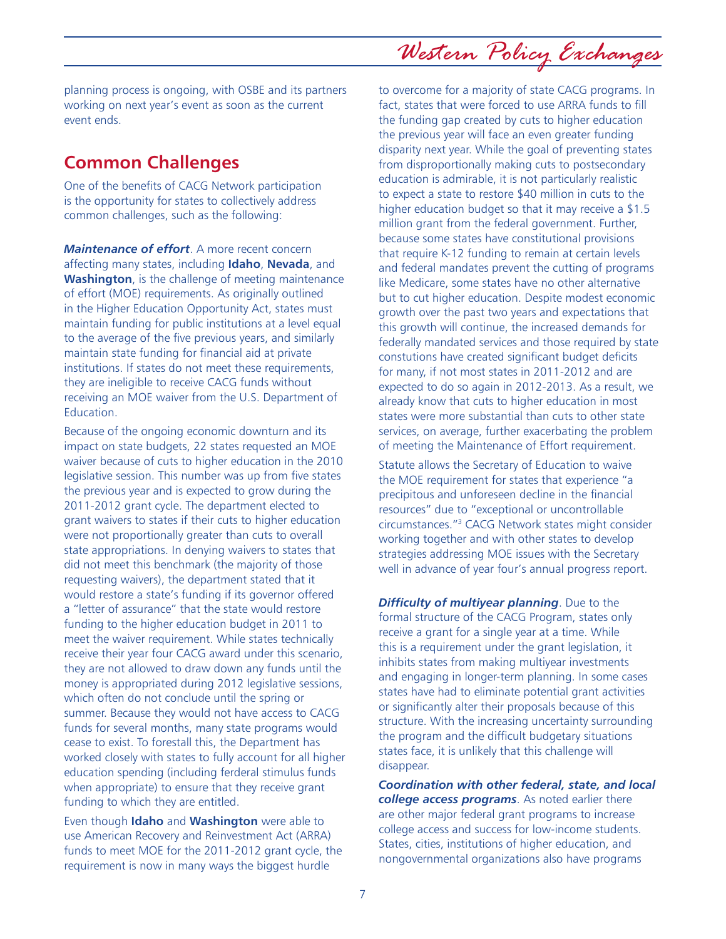planning process is ongoing, with OSBE and its partners working on next year's event as soon as the current event ends.

### **Common Challenges**

One of the benefits of CACG Network participation is the opportunity for states to collectively address common challenges, such as the following:

*Maintenance of effort*. A more recent concern affecting many states, including **Idaho**, **Nevada**, and **Washington**, is the challenge of meeting maintenance of effort (MOE) requirements. As originally outlined in the Higher Education Opportunity Act, states must maintain funding for public institutions at a level equal to the average of the five previous years, and similarly maintain state funding for financial aid at private institutions. If states do not meet these requirements, they are ineligible to receive CACG funds without receiving an MOE waiver from the U.S. Department of Education.

Because of the ongoing economic downturn and its impact on state budgets, 22 states requested an MOE waiver because of cuts to higher education in the 2010 legislative session. This number was up from five states the previous year and is expected to grow during the 2011-2012 grant cycle. The department elected to grant waivers to states if their cuts to higher education were not proportionally greater than cuts to overall state appropriations. In denying waivers to states that did not meet this benchmark (the majority of those requesting waivers), the department stated that it would restore a state's funding if its governor offered a "letter of assurance" that the state would restore funding to the higher education budget in 2011 to meet the waiver requirement. While states technically receive their year four CACG award under this scenario, they are not allowed to draw down any funds until the money is appropriated during 2012 legislative sessions, which often do not conclude until the spring or summer. Because they would not have access to CACG funds for several months, many state programs would cease to exist. To forestall this, the Department has worked closely with states to fully account for all higher education spending (including ferderal stimulus funds when appropriate) to ensure that they receive grant funding to which they are entitled.

Even though **Idaho** and **Washington** were able to use American Recovery and Reinvestment Act (ARRA) funds to meet MOE for the 2011-2012 grant cycle, the requirement is now in many ways the biggest hurdle

to overcome for a majority of state CACG programs. In fact, states that were forced to use ARRA funds to fill the funding gap created by cuts to higher education the previous year will face an even greater funding disparity next year. While the goal of preventing states from disproportionally making cuts to postsecondary education is admirable, it is not particularly realistic to expect a state to restore \$40 million in cuts to the higher education budget so that it may receive a \$1.5 million grant from the federal government. Further, because some states have constitutional provisions that require K-12 funding to remain at certain levels and federal mandates prevent the cutting of programs like Medicare, some states have no other alternative but to cut higher education. Despite modest economic growth over the past two years and expectations that this growth will continue, the increased demands for federally mandated services and those required by state constutions have created significant budget deficits for many, if not most states in 2011-2012 and are expected to do so again in 2012-2013. As a result, we already know that cuts to higher education in most states were more substantial than cuts to other state services, on average, further exacerbating the problem of meeting the Maintenance of Effort requirement.

Statute allows the Secretary of Education to waive the MOE requirement for states that experience "a precipitous and unforeseen decline in the financial resources" due to "exceptional or uncontrollable circumstances."3 CACG Network states might consider working together and with other states to develop strategies addressing MOE issues with the Secretary well in advance of year four's annual progress report.

*Difficulty of multiyear planning*. Due to the formal structure of the CACG Program, states only receive a grant for a single year at a time. While this is a requirement under the grant legislation, it inhibits states from making multiyear investments and engaging in longer-term planning. In some cases states have had to eliminate potential grant activities or significantly alter their proposals because of this structure. With the increasing uncertainty surrounding the program and the difficult budgetary situations states face, it is unlikely that this challenge will disappear.

*Coordination with other federal, state, and local college access programs*. As noted earlier there are other major federal grant programs to increase college access and success for low-income students. States, cities, institutions of higher education, and nongovernmental organizations also have programs

## *Western Policy Exchanges*